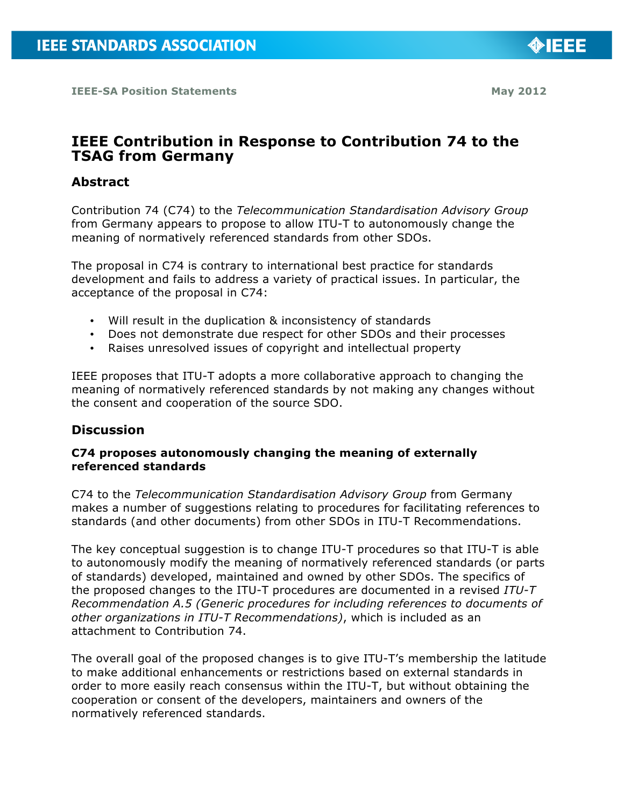# **IEEE Contribution in Response to Contribution 74 to the TSAG from Germany**

### **Abstract**

Contribution 74 (C74) to the *Telecommunication Standardisation Advisory Group* from Germany appears to propose to allow ITU-T to autonomously change the meaning of normatively referenced standards from other SDOs.

The proposal in C74 is contrary to international best practice for standards development and fails to address a variety of practical issues. In particular, the acceptance of the proposal in C74:

- Will result in the duplication & inconsistency of standards
- Does not demonstrate due respect for other SDOs and their processes
- Raises unresolved issues of copyright and intellectual property

IEEE proposes that ITU-T adopts a more collaborative approach to changing the meaning of normatively referenced standards by not making any changes without the consent and cooperation of the source SDO.

### **Discussion**

#### **C74 proposes autonomously changing the meaning of externally referenced standards**

C74 to the *Telecommunication Standardisation Advisory Group* from Germany makes a number of suggestions relating to procedures for facilitating references to standards (and other documents) from other SDOs in ITU-T Recommendations.

The key conceptual suggestion is to change ITU-T procedures so that ITU-T is able to autonomously modify the meaning of normatively referenced standards (or parts of standards) developed, maintained and owned by other SDOs. The specifics of the proposed changes to the ITU-T procedures are documented in a revised *ITU-T Recommendation A.5 (Generic procedures for including references to documents of other organizations in ITU-T Recommendations)*, which is included as an attachment to Contribution 74.

The overall goal of the proposed changes is to give ITU-T's membership the latitude to make additional enhancements or restrictions based on external standards in order to more easily reach consensus within the ITU-T, but without obtaining the cooperation or consent of the developers, maintainers and owners of the normatively referenced standards.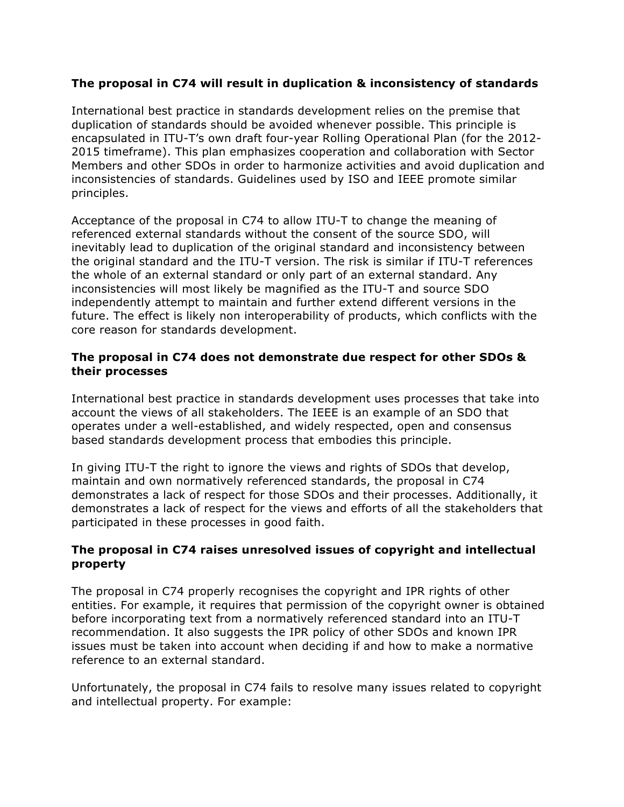### **The proposal in C74 will result in duplication & inconsistency of standards**

International best practice in standards development relies on the premise that duplication of standards should be avoided whenever possible. This principle is encapsulated in ITU-T's own draft four-year Rolling Operational Plan (for the 2012- 2015 timeframe). This plan emphasizes cooperation and collaboration with Sector Members and other SDOs in order to harmonize activities and avoid duplication and inconsistencies of standards. Guidelines used by ISO and IEEE promote similar principles.

Acceptance of the proposal in C74 to allow ITU-T to change the meaning of referenced external standards without the consent of the source SDO, will inevitably lead to duplication of the original standard and inconsistency between the original standard and the ITU-T version. The risk is similar if ITU-T references the whole of an external standard or only part of an external standard. Any inconsistencies will most likely be magnified as the ITU-T and source SDO independently attempt to maintain and further extend different versions in the future. The effect is likely non interoperability of products, which conflicts with the core reason for standards development.

#### **The proposal in C74 does not demonstrate due respect for other SDOs & their processes**

International best practice in standards development uses processes that take into account the views of all stakeholders. The IEEE is an example of an SDO that operates under a well-established, and widely respected, open and consensus based standards development process that embodies this principle.

In giving ITU-T the right to ignore the views and rights of SDOs that develop, maintain and own normatively referenced standards, the proposal in C74 demonstrates a lack of respect for those SDOs and their processes. Additionally, it demonstrates a lack of respect for the views and efforts of all the stakeholders that participated in these processes in good faith.

#### **The proposal in C74 raises unresolved issues of copyright and intellectual property**

The proposal in C74 properly recognises the copyright and IPR rights of other entities. For example, it requires that permission of the copyright owner is obtained before incorporating text from a normatively referenced standard into an ITU-T recommendation. It also suggests the IPR policy of other SDOs and known IPR issues must be taken into account when deciding if and how to make a normative reference to an external standard.

Unfortunately, the proposal in C74 fails to resolve many issues related to copyright and intellectual property. For example: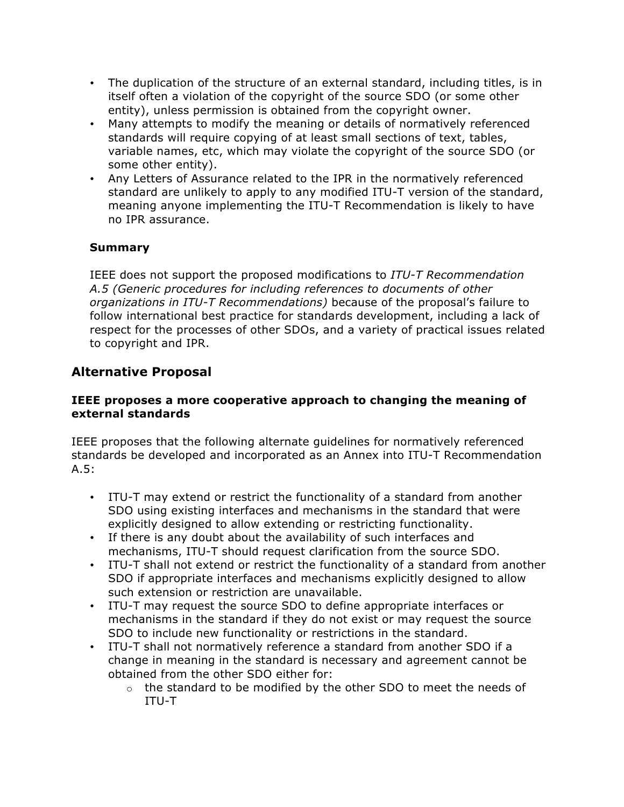- The duplication of the structure of an external standard, including titles, is in itself often a violation of the copyright of the source SDO (or some other entity), unless permission is obtained from the copyright owner.
- Many attempts to modify the meaning or details of normatively referenced standards will require copying of at least small sections of text, tables, variable names, etc, which may violate the copyright of the source SDO (or some other entity).
- Any Letters of Assurance related to the IPR in the normatively referenced standard are unlikely to apply to any modified ITU-T version of the standard, meaning anyone implementing the ITU-T Recommendation is likely to have no IPR assurance.

### **Summary**

IEEE does not support the proposed modifications to *ITU-T Recommendation A.5 (Generic procedures for including references to documents of other organizations in ITU-T Recommendations)* because of the proposal's failure to follow international best practice for standards development, including a lack of respect for the processes of other SDOs, and a variety of practical issues related to copyright and IPR.

## **Alternative Proposal**

#### **IEEE proposes a more cooperative approach to changing the meaning of external standards**

IEEE proposes that the following alternate guidelines for normatively referenced standards be developed and incorporated as an Annex into ITU-T Recommendation  $A.5$ :

- ITU-T may extend or restrict the functionality of a standard from another SDO using existing interfaces and mechanisms in the standard that were explicitly designed to allow extending or restricting functionality.
- If there is any doubt about the availability of such interfaces and mechanisms, ITU-T should request clarification from the source SDO.
- ITU-T shall not extend or restrict the functionality of a standard from another SDO if appropriate interfaces and mechanisms explicitly designed to allow such extension or restriction are unavailable.
- ITU-T may request the source SDO to define appropriate interfaces or mechanisms in the standard if they do not exist or may request the source SDO to include new functionality or restrictions in the standard.
- ITU-T shall not normatively reference a standard from another SDO if a change in meaning in the standard is necessary and agreement cannot be obtained from the other SDO either for:
	- $\circ$  the standard to be modified by the other SDO to meet the needs of ITU-T